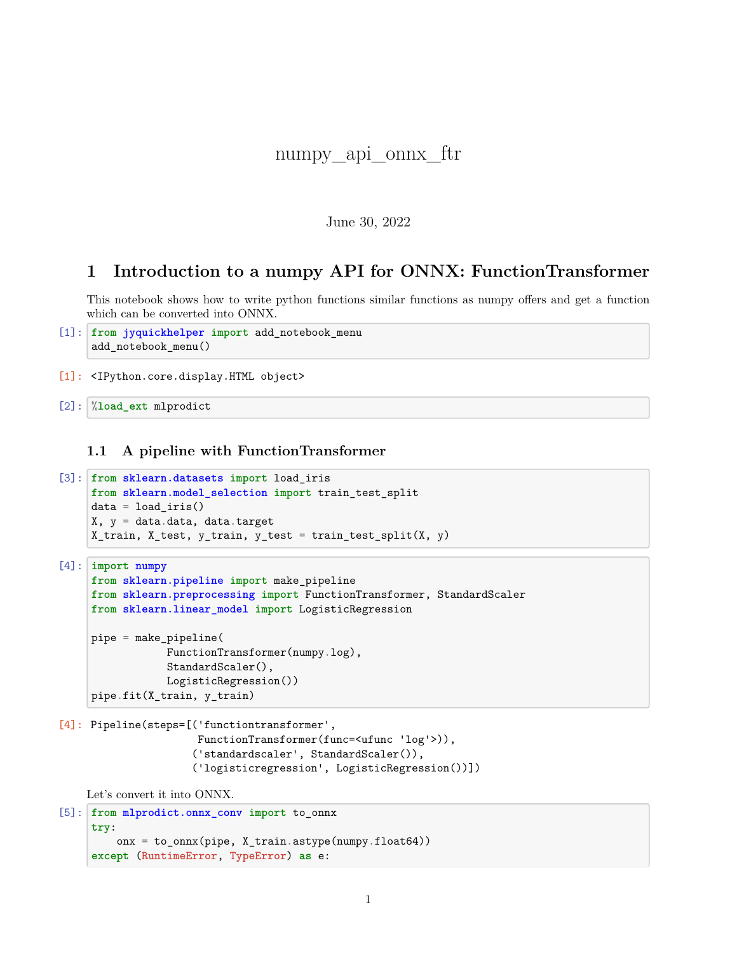# numpy api onnx ftr

### June 30, 2022

## **1 Introduction to a numpy API for ONNX: FunctionTransformer**

This notebook shows how to write python functions similar functions as numpy offers and get a function which can be converted into ONNX.

```
[1]: from jyquickhelper import add_notebook_menu
     add_notebook_menu()
```
[1]: <IPython.core.display.HTML object>

[2]: %**load\_ext** mlprodict

**1.1 A pipeline with FunctionTransformer**

```
[3]: from sklearn.datasets import load_iris
     from sklearn.model_selection import train_test_split
     data = load\_iris()X, y = data.data, data targetX_train, X_test, y_train, y_test = train_test_split(X, y)
```

```
[4]: import numpy
     from sklearn.pipeline import make_pipeline
     from sklearn.preprocessing import FunctionTransformer, StandardScaler
     from sklearn.linear_model import LogisticRegression
```

```
pipe = make_pipeline(
            FunctionTransformer(numpy.log),
            StandardScaler(),
            LogisticRegression())
pipe.fit(X_train, y_train)
```

```
[4]: Pipeline(steps=[('functiontransformer',
```

```
FunctionTransformer(func=<ufunc 'log'>)),
('standardscaler', StandardScaler()),
('logisticregression', LogisticRegression())])
```
Let's convert it into ONNX.

```
[5]: from mlprodict.onnx_conv import to_onnx
     try:
         onx = to_onnx(pipe, X_train.astype(numpy.float64))
     except (RuntimeError, TypeError) as e:
```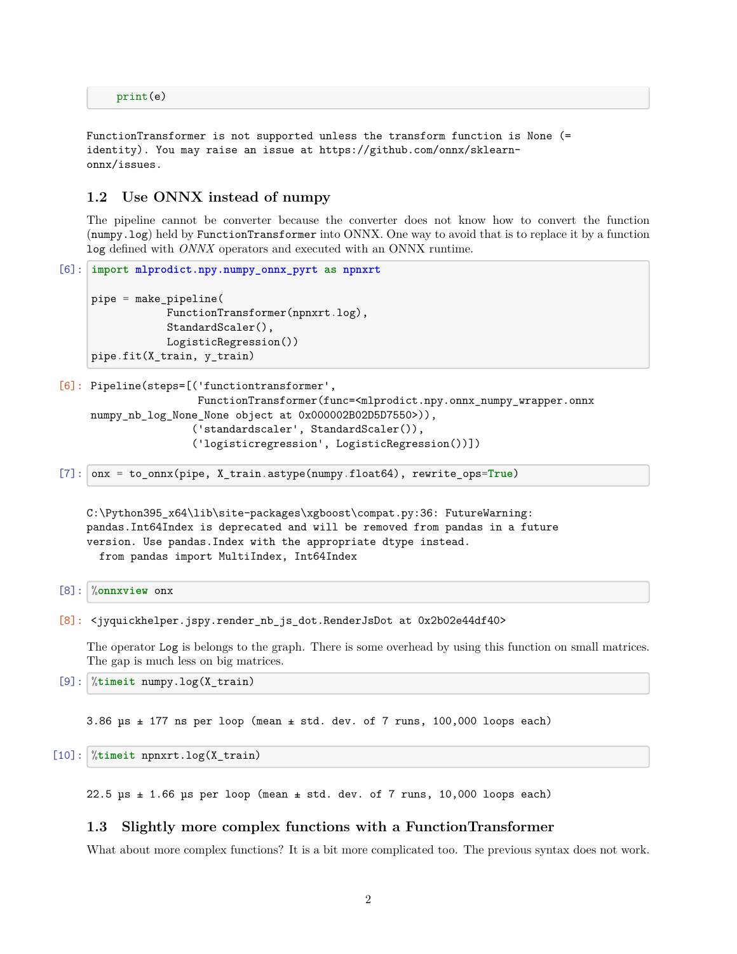FunctionTransformer is not supported unless the transform function is None (= identity). You may raise an issue at https://github.com/onnx/sklearnonnx/issues.

#### **1.2 Use ONNX instead of numpy**

The pipeline cannot be converter because the converter does not know how to convert the function (numpy.log) held by FunctionTransformer into ONNX. One way to avoid that is to replace it by a function log defined with *ONNX* operators and executed with an ONNX runtime.

```
[6]: import mlprodict.npy.numpy_onnx_pyrt as npnxrt
     pipe = make_pipeline(
                 FunctionTransformer(npnxrt.log),
                 StandardScaler(),
                 LogisticRegression())
     pipe.fit(X_train, y_train)
```

```
[6]: Pipeline(steps=[('functiontransformer',
```

```
FunctionTransformer(func=<mlprodict.npy.onnx_numpy_wrapper.onnx
numpy_nb_log_None_None object at 0x000002B02D5D7550>)),
                ('standardscaler', StandardScaler()),
                ('logisticregression', LogisticRegression())])
```
[7]: onx = to\_onnx(pipe, X\_train.astype(numpy.float64), rewrite\_ops=**True**)

```
C:\Python395_x64\lib\site-packages\xgboost\compat.py:36: FutureWarning:
pandas.Int64Index is deprecated and will be removed from pandas in a future
version. Use pandas.Index with the appropriate dtype instead.
  from pandas import MultiIndex, Int64Index
```

```
[8]: %onnxview onx
```

```
[8]: <jyquickhelper.jspy.render_nb_js_dot.RenderJsDot at 0x2b02e44df40>
```
The operator Log is belongs to the graph. There is some overhead by using this function on small matrices. The gap is much less on big matrices.

[9]: %**timeit** numpy.log(X\_train)

3.86  $\mu$ s  $\pm$  177 ns per loop (mean  $\pm$  std. dev. of 7 runs, 100,000 loops each)

[10]: %**timeit** npnxrt.log(X\_train)

22.5  $\mu$ s  $\pm$  1.66  $\mu$ s per loop (mean  $\pm$  std. dev. of 7 runs, 10,000 loops each)

#### **1.3 Slightly more complex functions with a FunctionTransformer**

What about more complex functions? It is a bit more complicated too. The previous syntax does not work.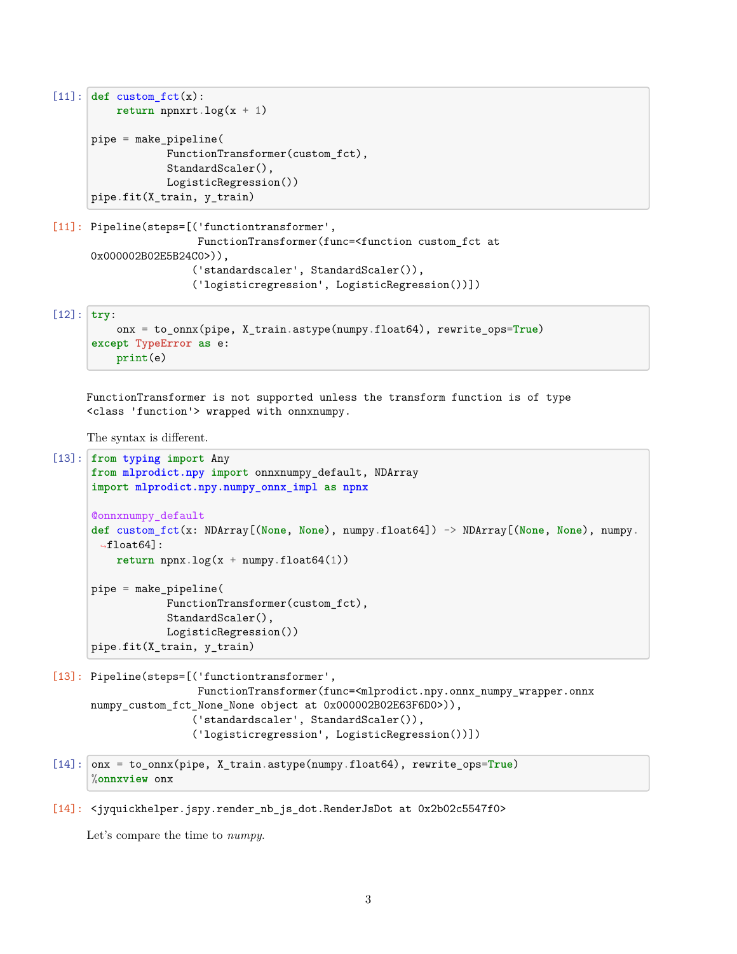```
[11]: def customfct(x):return npnxrt.log(x + 1)
      pipe = make_pipeline(
                  FunctionTransformer(custom_fct),
                  StandardScaler(),
                  LogisticRegression())
      pipe.fit(X_train, y_train)
```

```
[11]: Pipeline(steps=[('functiontransformer',
                       FunctionTransformer(func=<function custom_fct at
      0x000002B02E5B24C0>)),
                      ('standardscaler', StandardScaler()),
                      ('logisticregression', LogisticRegression())])
```
[12]: **try**:

```
onx = to_onnx(pipe, X_train.astype(numpy.float64), rewrite_ops=True)
except TypeError as e:
    print(e)
```
FunctionTransformer is not supported unless the transform function is of type <class 'function'> wrapped with onnxnumpy.

The syntax is different.

```
[13]: from typing import Any
      from mlprodict.npy import onnxnumpy_default, NDArray
      import mlprodict.npy.numpy_onnx_impl as npnx
      @onnxnumpy_default
      def custom_fct(x: NDArray[(None, None), numpy.float64]) -> NDArray[(None, None), numpy.
       \rightarrowfloat64]:
          return npx.log(x + numpy.float64(1))pipe = make_pipeline(
                  FunctionTransformer(custom_fct),
                  StandardScaler(),
                  LogisticRegression())
      pipe.fit(X_train, y_train)
```

```
[13]: Pipeline(steps=[('functiontransformer',
                       FunctionTransformer(func=<mlprodict.npy.onnx_numpy_wrapper.onnx
     numpy_custom_fct_None_None object at 0x000002B02E63F6D0>)),
                      ('standardscaler', StandardScaler()),
                      ('logisticregression', LogisticRegression())])
```

```
[14]: onx = to_onnx(pipe, X_train.astype(numpy.float64), rewrite_ops=True)
      %onnxview onx
```
[14]: <jyquickhelper.jspy.render\_nb\_js\_dot.RenderJsDot at 0x2b02c5547f0>

Let's compare the time to *numpy*.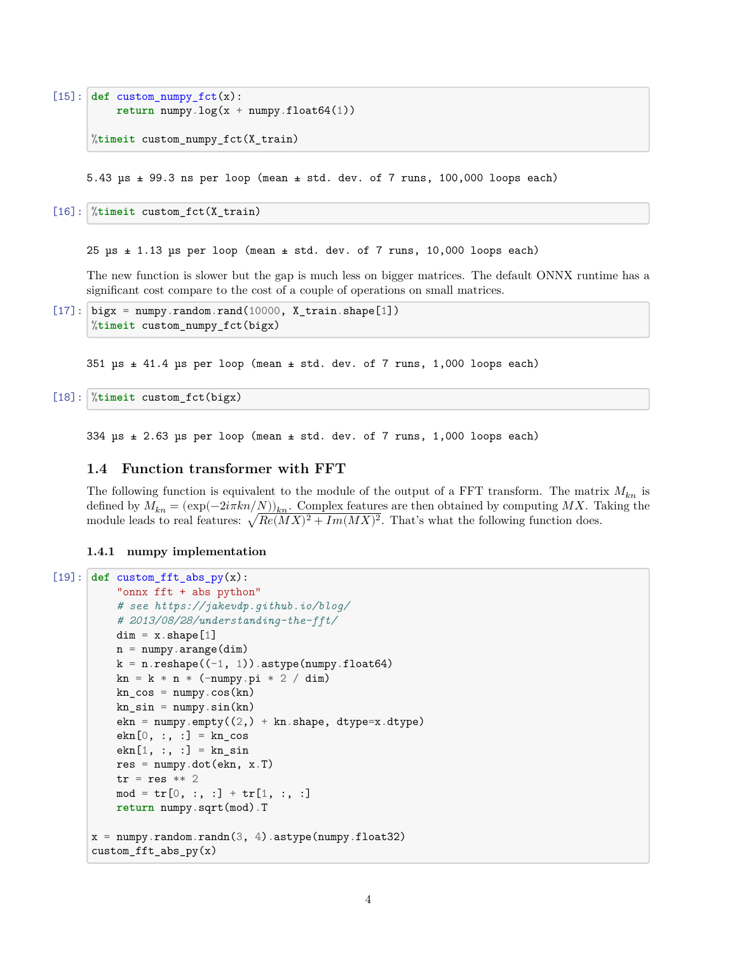```
[15]: def custom_numpy_fct(x):
          return numpy.log(x + numpy.float64(1))%timeit custom_numpy_fct(X_train)
```
5.43  $\mu$ s  $\pm$  99.3 ns per loop (mean  $\pm$  std. dev. of 7 runs, 100,000 loops each)

[16]: %**timeit** custom\_fct(X\_train)

 $25 \text{ }\mu\text{s} \pm 1.13 \text{ }\mu\text{s}$  per loop (mean  $\pm$  std. dev. of 7 runs, 10,000 loops each)

The new function is slower but the gap is much less on bigger matrices. The default ONNX runtime has a significant cost compare to the cost of a couple of operations on small matrices.

```
[17]: bigx = numpy.random.rand(10000, X_train.shape[1])
      %timeit custom_numpy_fct(bigx)
```
351 µs ± 41.4 µs per loop (mean ± std. dev. of 7 runs, 1,000 loops each)

[18]: %**timeit** custom\_fct(bigx)

334  $\mu$ s  $\pm$  2.63  $\mu$ s per loop (mean  $\pm$  std. dev. of 7 runs, 1,000 loops each)

#### **1.4 Function transformer with FFT**

The following function is equivalent to the module of the output of a FFT transform. The matrix  $M_{kn}$  is defined by  $M_{kn} = (\exp(-2i\pi k n/N))_{kn}$ . Complex features are then obtained by computing MX. Taking the module leads to real features:  $\sqrt{Re(MX)^2 + Im(MX)^2}$ . That's what the following function does.

**1.4.1 numpy implementation**

```
[19]: def custom_fft_abs_py(x):
           "onnx fft + abs python"
           # see https://jakevdp.github.io/blog/
           # 2013/08/28/understanding-the-fft/
           dim = x.shape[1]n = numpy.arange(dim)
           k = n.reshape((-1, 1)).astype(numpy.float64)
           kn = k * n * (-numpy.pi * 2 / dim)kn\_cos = numpy.cos(kn)kn\_sin = numpy.sin(kn)ekn = \text{number}.\text{empty}(2,) + kn.\text{shape}, \text{ dtype=x}.dtype)ekn[0, :, :] = kn_{cos}ekn[1, :, :] = knsin
           res = \text{numpy.dot}(\text{ekn}, x.T)tr = res ** 2mod = tr[0, :, :] + tr[1, :, :]return numpy.sqrt(mod).T
      x = \text{number.random.random}(3, 4). astype(numpy.float32)
      custom_fft_abs_py(x)
```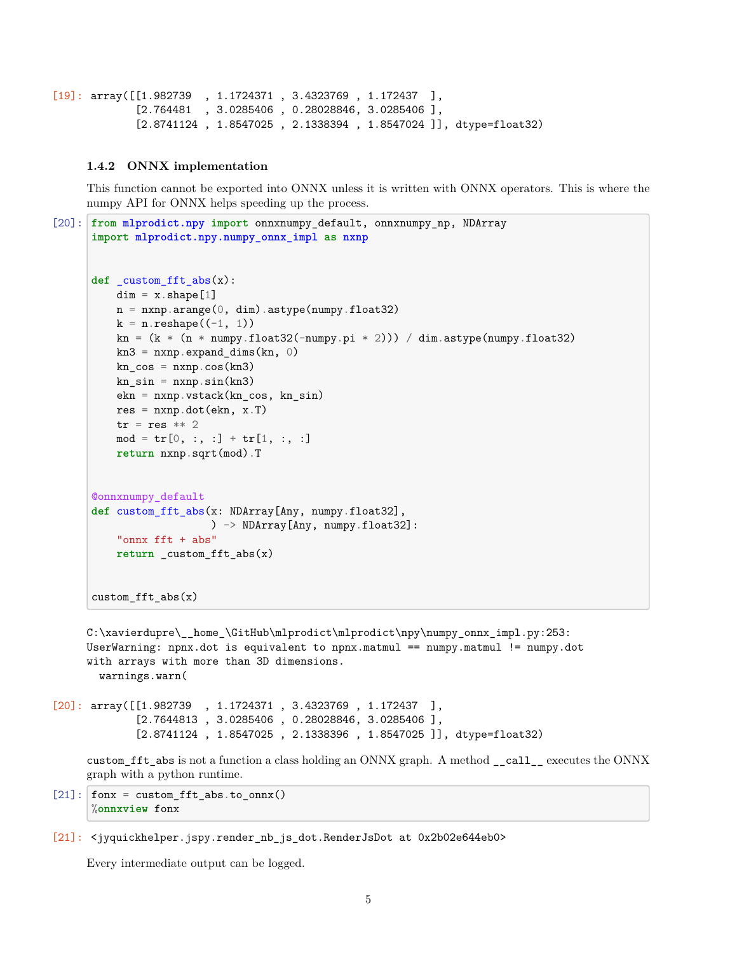```
[19]: array([[1.982739 , 1.1724371 , 3.4323769 , 1.172437 ],
             [2.764481 , 3.0285406 , 0.28028846, 3.0285406 ],
             [2.8741124 , 1.8547025 , 2.1338394 , 1.8547024 ]], dtype=float32)
```
#### **1.4.2 ONNX implementation**

This function cannot be exported into ONNX unless it is written with ONNX operators. This is where the numpy API for ONNX helps speeding up the process.

```
[20]: from mlprodict.npy import onnxnumpy_default, onnxnumpy_np, NDArray
      import mlprodict.npy.numpy_onnx_impl as nxnp
      def _custom_fft_abs(x):
         dim = x.shape[1]n = n x np.arange(0, dim).astype(numpy.float32)k = n.\text{reshape}((-1, 1))kn = (k * (n * numpy.float32(-numpy.pi * 2))) / dim astype(numpy.float32)kn3 = nxnp.expand\_dims(kn, 0)kn_{\text{c}}os = nxnp \cdot cos(kn3)kn\_sin = nxnp.sin(kn3)ekn = nxnp.vstack(kn_cos, kn_sin)
          res = nxnp.dot(ekn, x.T)tr = res ** 2mod = tr[0, :, :] + tr[1, :, :]return nxnp.sqrt(mod).T
      @onnxnumpy_default
      def custom_fft_abs(x: NDArray[Any, numpy.float32],
                         ) -> NDArray[Any, numpy.float32]:
          "onnx fft + abs"
          return _custom_fft_abs(x)
      custom_fft_abs(x)
     C:\xavierdupre\__home_\GitHub\mlprodict\mlprodict\npy\numpy_onnx_impl.py:253:
```
UserWarning: npnx.dot is equivalent to npnx.matmul == numpy.matmul != numpy.dot with arrays with more than 3D dimensions. warnings.warn(

```
[20]: array([[1.982739 , 1.1724371 , 3.4323769 , 1.172437 ],
             [2.7644813 , 3.0285406 , 0.28028846, 3.0285406 ],
             [2.8741124 , 1.8547025 , 2.1338396 , 1.8547025 ]], dtype=float32)
```
custom\_fft\_abs is not a function a class holding an ONNX graph. A method \_\_call\_\_ executes the ONNX graph with a python runtime.

 $[21]:$  fonx = custom\_fft\_abs.to\_onnx() %**onnxview** fonx

Every intermediate output can be logged.

<sup>[21]:</sup> <jyquickhelper.jspy.render\_nb\_js\_dot.RenderJsDot at 0x2b02e644eb0>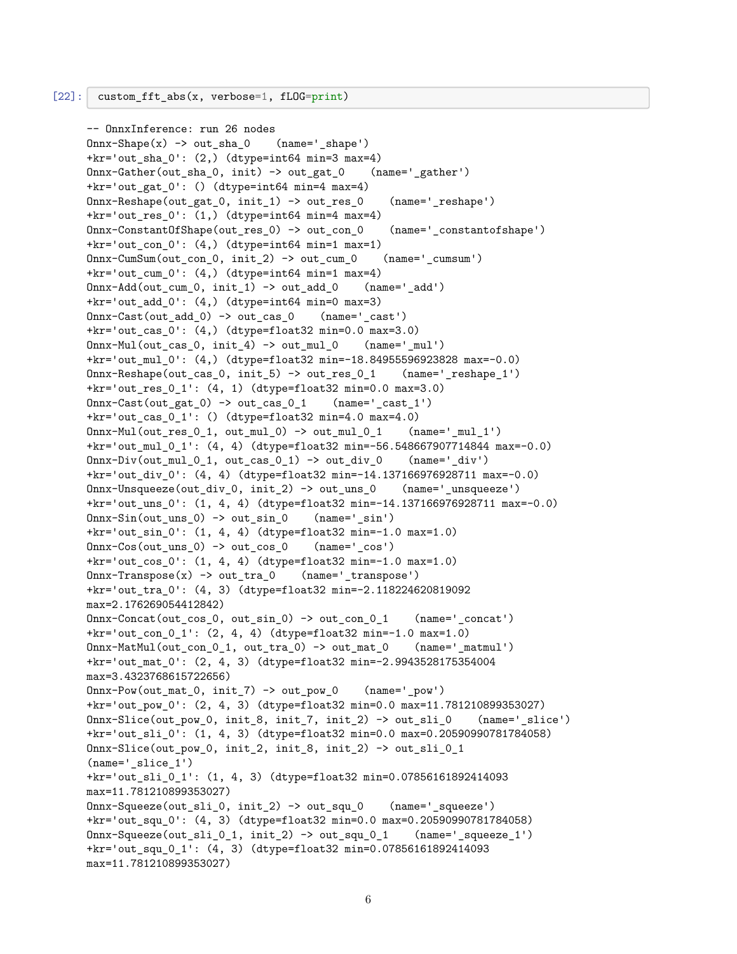```
-- OnnxInference: run 26 nodes
0nnx-Shape(x) \rightarrow out sha 0 (name=' shape')
+kr='out_sha_0': (2,) (dtype=int64 min=3 max=4)
Onnx-Gather(out_sha_0, init) -> out_gat_0 (name='_gather')
+kr='out gat 0': () (dtype=int64 min=4 max=4)
Onnx-Reshape(out_gat_0, init_1) -> out_res_0 (name='_reshape')
+kr='out_res_0': (1,) (dtype=int64 min=4 max=4)
Onnx-ConstantOfShape(out_res_0) -> out_con_0 (name='_constantofshape')
+kr='out_con_0': (4,) (dtype=int64 min=1 max=1)
Onnx-CumSum(out_con_0, init_2) -> out_cum_0 (name='_cumsum')
+kr='out_cum_0': (4,) (dtype=int64 min=1 max=4)
Onnx-Add(out_cum_0, init_1) -> out_add_0 (name='_add')
+kr='out\_add_0': (4,) (dtype=int64 min=0 max=3)0nnx-Cast(out_add_0) -> out_cas_0 (name='_cast')
+kr='out_cas_0': (4,) (dtype=float32 min=0.0 max=3.0)
Onnx-Mul(out_cas_0, init_4) -> out_mul_0 (name='_mul')
+kr='out_mul_0': (4,) (dtype=float32 min=-18.84955596923828 max=-0.0)
Onnx-Reshape(out_cas_0, init_5) -> out_res_0_1 (name='_reshape_1')
+kr='out_res_0_1': (4, 1) (dtype=float32 min=0.0 max=3.0)
\text{Onnx--Cast}(\text{out}_\text{gat_0}) \rightarrow \text{out}_\text{cas_01} (name='_cast_1')
+kr='out_cas_0_1': () (dtype=float32 min=4.0 max=4.0)
0nnx-Mul(out_res_0_1, out_mul_0) -> out_mul_0_1 (name='_mul_1')
+kr='out_mul_0_1': (4, 4) (dtype=float32 min=-56.548667907714844 max=-0.0)
0mnx-Div(out_mul_0_1, out_cas_0_1) -> out_div_0 (name='_div')
+kr='out_div_0': (4, 4) (dtype=float32 min=-14.137166976928711 max=-0.0)
Onnx-Unsqueeze(out_div_0, init_2) -> out_uns_0 (name='_unsqueeze')
+kr='out_uns_0': (1, 4, 4) (dtype=float32 min=-14.137166976928711 max=-0.0)
0nnx-Sin(out_uns_0) -> out_sin_0 (name='_sin')
+kr='out_sin_0': (1, 4, 4) (dtype=float32 min=-1.0 max=1.0)
Onnx-Cos(out_uns_0) -> out_cos_0 (name='_cos')
+kr='out_cos_0': (1, 4, 4) (dtype=float32 min=-1.0 max=1.0)
0nnx-Transpose(x) \rightarrow out tra 0 (name=' transpose')
+kr='out_tra_0': (4, 3) (dtype=float32 min=-2.118224620819092
max=2.176269054412842)
Onnx-Concat(out_cos_0, out_sin_0) -> out_con_0_1 (name='_concat')
+kr='out_con_0_1': (2, 4, 4) (dtype=float32 min=-1.0 max=1.0)
Onnx-MatMul(out_con_0_1, out_tra_0) -> out_mat_0 (name='_matmul')
+kr='out_mat_0': (2, 4, 3) (dtype=float32 min=-2.9943528175354004
max=3.4323768615722656)
Onnx-Pow(out_mat_0, init_7) -> out_pow_0 (name='_pow')
+kr='out_pow_0': (2, 4, 3) (dtype=float32 min=0.0 max=11.781210899353027)
Onnx-Slice(out_pow_0, init_8, init_7, init_2) -> out_sli_0 (name='_slice')
+kr='out_sli_0': (1, 4, 3) (dtype=float32 min=0.0 max=0.20590990781784058)
Onnx-Slice(out_pow_0, init_2, init_8, init_2) -> out_sli_0_1
(name='_slice_1')
+kr='out_sli_0_1': (1, 4, 3) (dtype=float32 min=0.07856161892414093
max=11.781210899353027)
Onnx-Squeeze(out_sli_0, init_2) -> out_squ_0 (name='_squeeze')
+kr='out_squ_0': (4, 3) (dtype=float32 min=0.0 max=0.20590990781784058)
Onnx-Squeeze(out_sli_0_1, init_2) -> out_squ_0_1 (name='_squeeze_1')
+kr='out_squ_0_1': (4, 3) (dtype=float32 min=0.07856161892414093
max=11.781210899353027)
```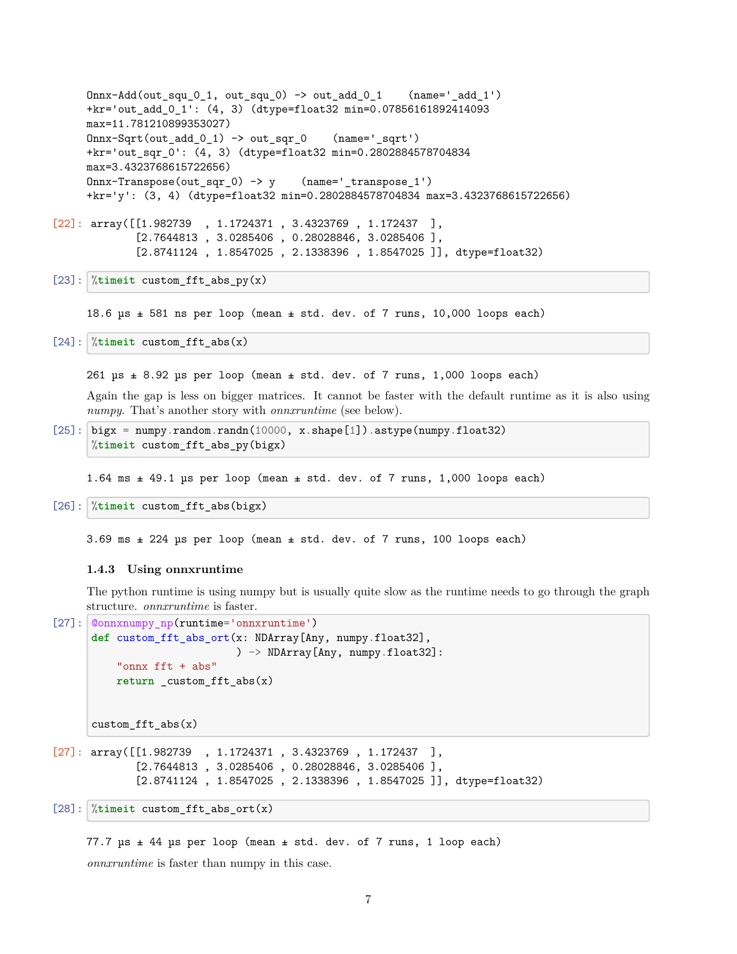```
0nnx-Add(out squ 0 1, out squ 0) -> out add 0 1 (name=' add 1')
     +kr='out_add_0_1': (4, 3) (dtype=float32 min=0.07856161892414093
     max=11.781210899353027)
     Onnx-Sqrt(out_add_0_1) -> out_sqr_0 (name='_sqrt')
     +kr='out_sqr_0': (4, 3) (dtype=float32 min=0.2802884578704834
     max=3.4323768615722656)
     Onnx-Transpose(out sqr 0) \rightarrow y (name=' transpose 1')
     +kr='y': (3, 4) (dtype=float32 min=0.2802884578704834 max=3.4323768615722656)
[22]: array([[1.982739 , 1.1724371 , 3.4323769 , 1.172437 ],
             [2.7644813 , 3.0285406 , 0.28028846, 3.0285406 ],
             [2.8741124 , 1.8547025 , 2.1338396 , 1.8547025 ]], dtype=float32)
```

```
[23]: \sqrt[n]{timeit} custom fft abs py(x)
```
18.6  $\mu$ s  $\pm$  581 ns per loop (mean  $\pm$  std. dev. of 7 runs, 10,000 loops each)

[24]: %**timeit** custom\_fft\_abs(x)

261  $\mu s \pm 8.92 \mu s$  per loop (mean  $\pm$  std. dev. of 7 runs, 1,000 loops each)

Again the gap is less on bigger matrices. It cannot be faster with the default runtime as it is also using *numpy*. That's another story with *onnxruntime* (see below).

```
[25]: bigx = numpy.random.randn(10000, x.shape[1]).astype(numpy.float32)
      %timeit custom_fft_abs_py(bigx)
```
1.64 ms  $\pm$  49.1 µs per loop (mean  $\pm$  std. dev. of 7 runs, 1,000 loops each)

```
[26]: %timeit custom_fft_abs(bigx)
```
3.69 ms ± 224 µs per loop (mean ± std. dev. of 7 runs, 100 loops each)

#### **1.4.3 Using onnxruntime**

The python runtime is using numpy but is usually quite slow as the runtime needs to go through the graph structure. *onnxruntime* is faster.

```
[27]: \phi connxnumpy_np(runtime='onnxruntime')
      def custom_fft_abs_ort(x: NDArray[Any, numpy.float32],
                               ) -> NDArray[Any, numpy.float32]:
           "onnx fft + abs"
           return _custom_fft_abs(x)
      \text{custom}_\text{eff}\text{t}_\text{abs}(x)[27]: array([[1.982739 , 1.1724371 , 3.4323769 , 1.172437 ],
              [2.7644813 , 3.0285406 , 0.28028846, 3.0285406 ],
              [2.8741124 , 1.8547025 , 2.1338396 , 1.8547025 ]], dtype=float32)
[28]: %timeit custom_fft_abs_ort(x)
```
77.7  $\mu s$   $\pm$  44  $\mu s$  per loop (mean  $\pm$  std. dev. of 7 runs, 1 loop each) *onnxruntime* is faster than numpy in this case.